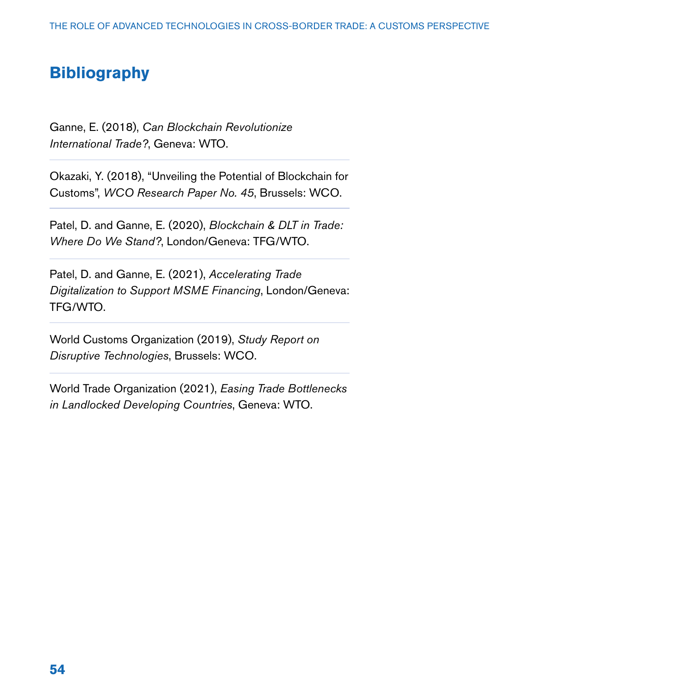## **Bibliography**

Ganne, E. (2018), *Can Blockchain Revolutionize International Trade?*, Geneva: WTO.

Okazaki, Y. (2018), "Unveiling the Potential of Blockchain for Customs", *WCO Research Paper No. 45*, Brussels: WCO.

Patel, D. and Ganne, E. (2020), *Blockchain & DLT in Trade: Where Do We Stand?*, London/Geneva: TFG/WTO.

Patel, D. and Ganne, E. (2021), *Accelerating Trade Digitalization to Support MSME Financing*, London/Geneva: TFG/WTO.

World Customs Organization (2019), *Study Report on Disruptive Technologies*, Brussels: WCO.

World Trade Organization (2021), *Easing Trade Bottlenecks in Landlocked Developing Countries*, Geneva: WTO.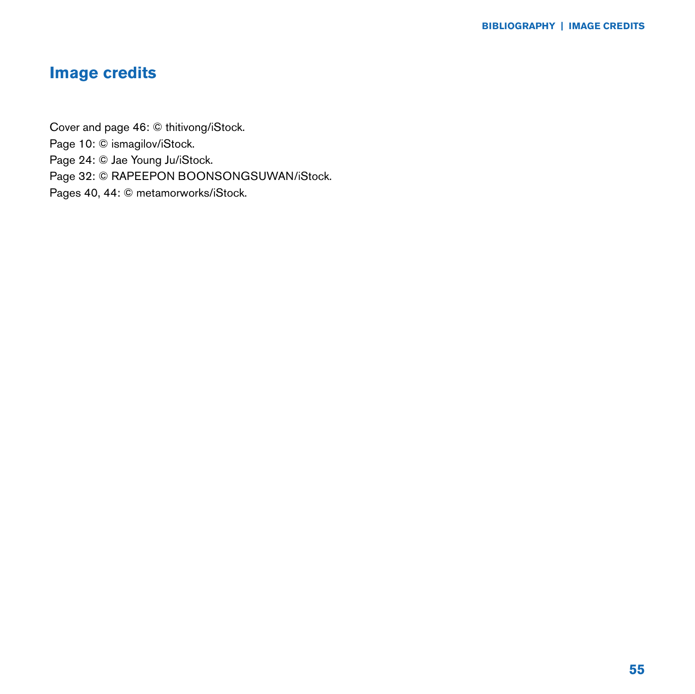## **Image credits**

Cover and page 46: © thitivong/iStock. Page 10: © ismagilov/iStock. Page 24: © Jae Young Ju/iStock. Page 32: © RAPEEPON BOONSONGSUWAN/iStock. Pages 40, 44: © metamorworks/iStock.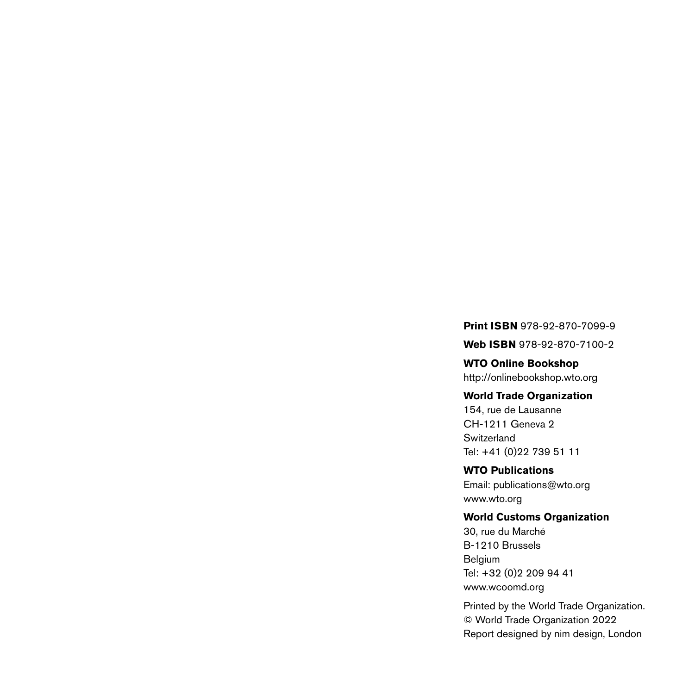**Print ISBN** 978-92-870-7099-9

**Web ISBN** 978-92-870-7100-2

**WTO Online Bookshop** http://onlinebookshop.wto.org

## **World Trade Organization**

154, rue de Lausanne CH-1211 Geneva 2 Switzerland Tel: +41 (0)22 739 51 11

**WTO Publications** Email: publications@wto.org www.wto.org

## **World Customs Organization**

30, rue du Marché B-1210 Brussels Belgium Tel: +32 (0)2 209 94 41 www.wcoomd.org

Printed by the World Trade Organization. © World Trade Organization 2022 Report designed by nim design, London